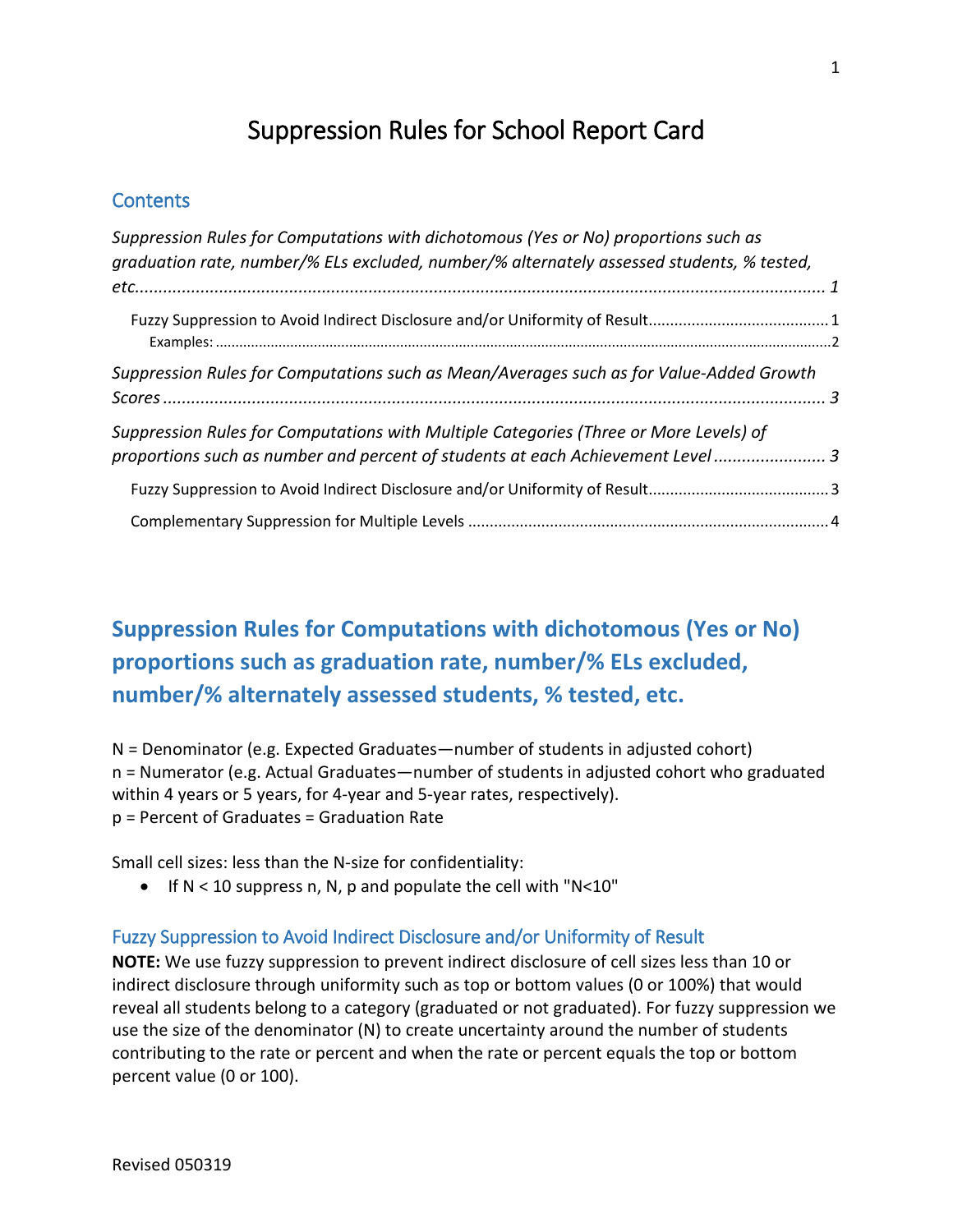# Suppression Rules for School Report Card

### **Contents**

| Suppression Rules for Computations with dichotomous (Yes or No) proportions such as<br>graduation rate, number/% ELs excluded, number/% alternately assessed students, % tested, |  |
|----------------------------------------------------------------------------------------------------------------------------------------------------------------------------------|--|
|                                                                                                                                                                                  |  |
|                                                                                                                                                                                  |  |
| Suppression Rules for Computations such as Mean/Averages such as for Value-Added Growth                                                                                          |  |
| Suppression Rules for Computations with Multiple Categories (Three or More Levels) of<br>proportions such as number and percent of students at each Achievement Level 3          |  |
|                                                                                                                                                                                  |  |
|                                                                                                                                                                                  |  |

## <span id="page-0-0"></span>**Suppression Rules for Computations with dichotomous (Yes or No) proportions such as graduation rate, number/% ELs excluded, number/% alternately assessed students, % tested, etc.**

N = Denominator (e.g. Expected Graduates—number of students in adjusted cohort) n = Numerator (e.g. Actual Graduates—number of students in adjusted cohort who graduated within 4 years or 5 years, for 4-year and 5-year rates, respectively). p = Percent of Graduates = Graduation Rate

Small cell sizes: less than the N-size for confidentiality:

• If N < 10 suppress n, N, p and populate the cell with "N<10"

#### <span id="page-0-1"></span>Fuzzy Suppression to Avoid Indirect Disclosure and/or Uniformity of Result

**NOTE:** We use fuzzy suppression to prevent indirect disclosure of cell sizes less than 10 or indirect disclosure through uniformity such as top or bottom values (0 or 100%) that would reveal all students belong to a category (graduated or not graduated). For fuzzy suppression we use the size of the denominator (N) to create uncertainty around the number of students contributing to the rate or percent and when the rate or percent equals the top or bottom percent value (0 or 100).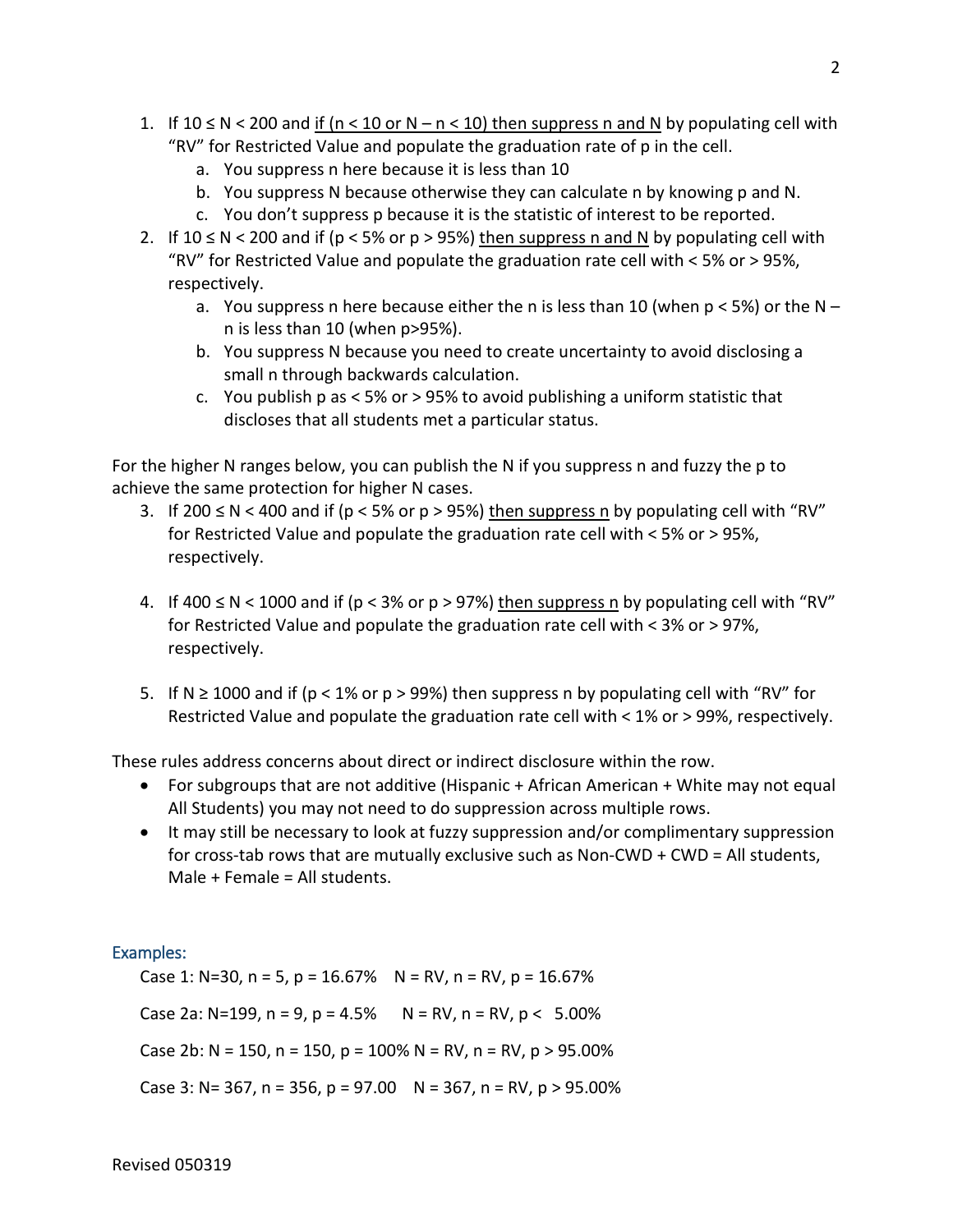- 1. If 10 ≤ N < 200 and if (n < 10 or N n < 10) then suppress n and N by populating cell with "RV" for Restricted Value and populate the graduation rate of p in the cell.
	- a. You suppress n here because it is less than 10
	- b. You suppress N because otherwise they can calculate n by knowing p and N.
	- c. You don't suppress p because it is the statistic of interest to be reported.
- 2. If 10 ≤ N < 200 and if (p < 5% or p > 95%) then suppress n and N by populating cell with "RV" for Restricted Value and populate the graduation rate cell with < 5% or > 95%, respectively.
	- a. You suppress n here because either the n is less than 10 (when  $p < 5\%$ ) or the N n is less than 10 (when p>95%).
	- b. You suppress N because you need to create uncertainty to avoid disclosing a small n through backwards calculation.
	- c. You publish p as < 5% or > 95% to avoid publishing a uniform statistic that discloses that all students met a particular status.

For the higher N ranges below, you can publish the N if you suppress n and fuzzy the p to achieve the same protection for higher N cases.

- 3. If 200 ≤ N < 400 and if (p < 5% or p > 95%) then suppress n by populating cell with "RV" for Restricted Value and populate the graduation rate cell with < 5% or > 95%, respectively.
- 4. If 400  $\leq$  N  $\leq$  1000 and if (p  $\leq$  3% or p  $>$  97%) then suppress n by populating cell with "RV" for Restricted Value and populate the graduation rate cell with < 3% or > 97%, respectively.
- 5. If N ≥ 1000 and if (p < 1% or p > 99%) then suppress n by populating cell with "RV" for Restricted Value and populate the graduation rate cell with < 1% or > 99%, respectively.

These rules address concerns about direct or indirect disclosure within the row.

- For subgroups that are not additive (Hispanic + African American + White may not equal All Students) you may not need to do suppression across multiple rows.
- It may still be necessary to look at fuzzy suppression and/or complimentary suppression for cross-tab rows that are mutually exclusive such as Non-CWD + CWD = All students, Male + Female = All students.

#### <span id="page-1-0"></span>Examples:

Case 1: N=30, n = 5, p =  $16.67\%$  N = RV, n = RV, p =  $16.67\%$ Case 2a: N=199, n = 9, p = 4.5%  $N = RV$ , n = RV, p < 5.00% Case 2b: N = 150, n = 150, p = 100% N = RV, n = RV, p > 95.00% Case 3: N= 367, n = 356, p = 97.00  $N = 367$ , n = RV, p > 95.00%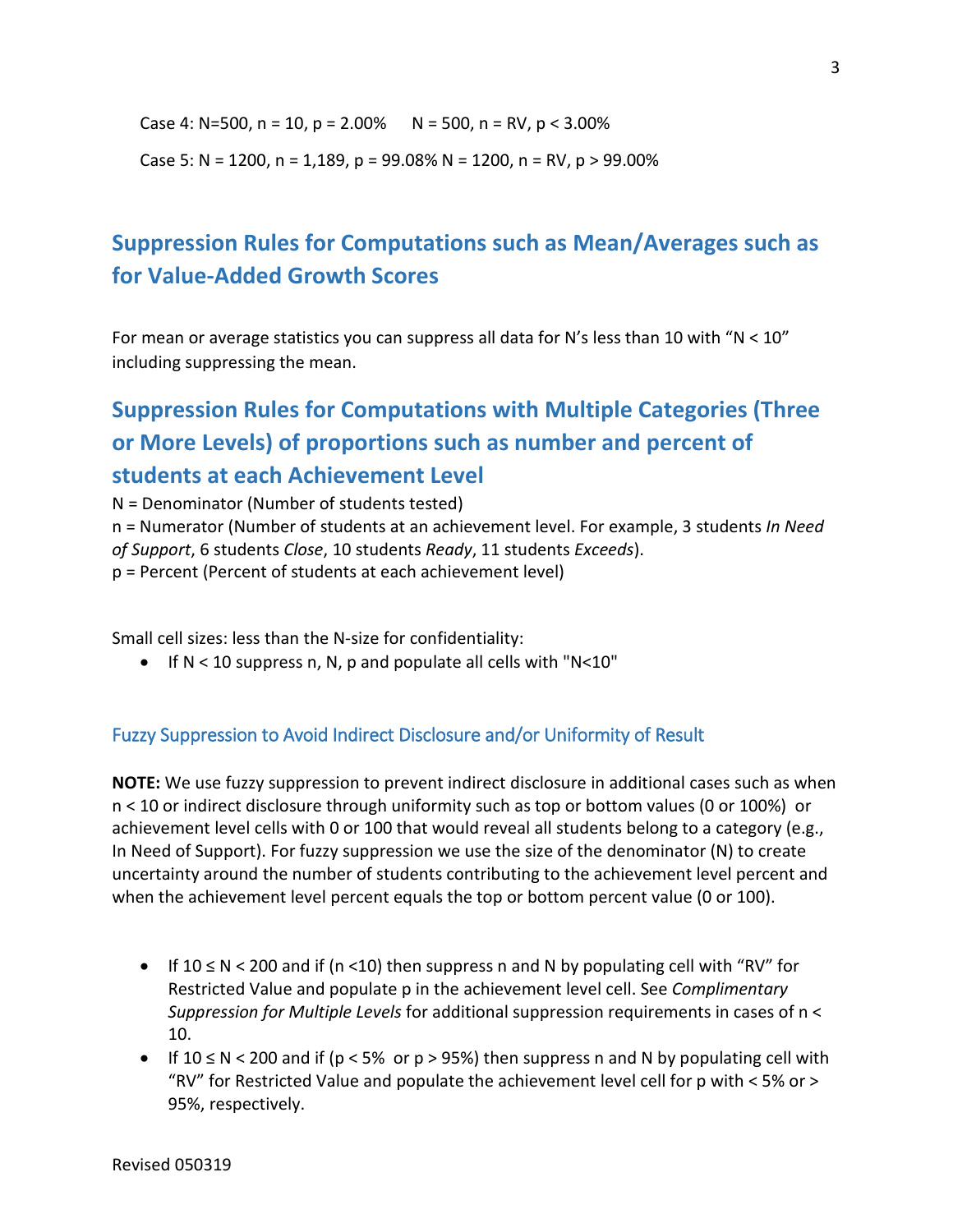Case 4: N=500, n = 10, p = 2.00%  $N = 500$ , n = RV, p < 3.00%

Case 5: N = 1200, n = 1,189, p = 99.08% N = 1200, n = RV, p > 99.00%

## <span id="page-2-0"></span>**Suppression Rules for Computations such as Mean/Averages such as for Value-Added Growth Scores**

For mean or average statistics you can suppress all data for N's less than 10 with "N < 10" including suppressing the mean.

# <span id="page-2-1"></span>**Suppression Rules for Computations with Multiple Categories (Three or More Levels) of proportions such as number and percent of students at each Achievement Level**

N = Denominator (Number of students tested) n = Numerator (Number of students at an achievement level. For example, 3 students *In Need of Support*, 6 students *Close*, 10 students *Ready*, 11 students *Exceeds*). p = Percent (Percent of students at each achievement level)

Small cell sizes: less than the N-size for confidentiality:

• If N < 10 suppress n, N, p and populate all cells with "N<10"

### <span id="page-2-2"></span>Fuzzy Suppression to Avoid Indirect Disclosure and/or Uniformity of Result

**NOTE:** We use fuzzy suppression to prevent indirect disclosure in additional cases such as when n < 10 or indirect disclosure through uniformity such as top or bottom values (0 or 100%) or achievement level cells with 0 or 100 that would reveal all students belong to a category (e.g., In Need of Support). For fuzzy suppression we use the size of the denominator (N) to create uncertainty around the number of students contributing to the achievement level percent and when the achievement level percent equals the top or bottom percent value (0 or 100).

- If  $10 \le N \le 200$  and if (n <10) then suppress n and N by populating cell with "RV" for Restricted Value and populate p in the achievement level cell. See *Complimentary Suppression for Multiple Levels* for additional suppression requirements in cases of n < 10.
- If  $10 \le N < 200$  and if (p < 5% or p > 95%) then suppress n and N by populating cell with "RV" for Restricted Value and populate the achievement level cell for p with  $<$  5% or  $>$ 95%, respectively.